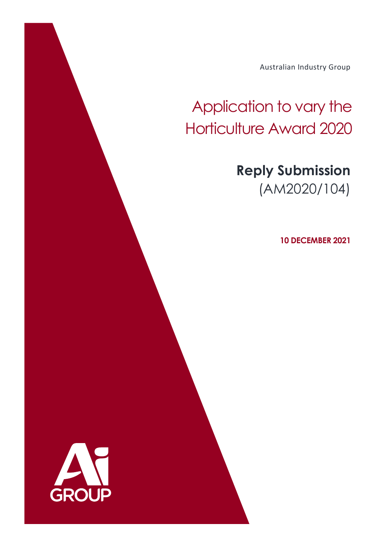Australian Industry Group

# Application to vary the Horticulture Award 2020

## **Reply Submission** (AM2020/104)

**10 DECEMBER 2021**

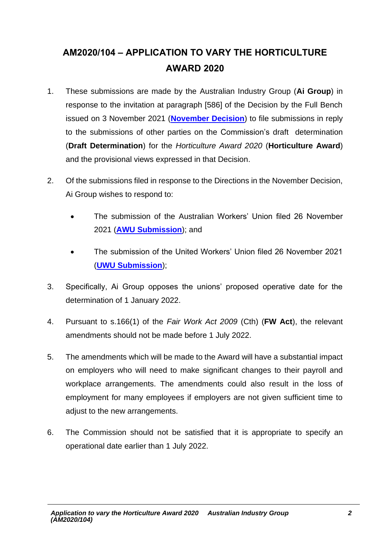### **AM2020/104 – APPLICATION TO VARY THE HORTICULTURE AWARD 2020**

- 1. These submissions are made by the Australian Industry Group (**Ai Group**) in response to the invitation at paragraph [586] of the Decision by the Full Bench issued on 3 November 2021 (**[November Decision](https://www.fwc.gov.au/documents/decisionssigned/html/2021fwcfb5554.htm#P3834_375429)**) to file submissions in reply to the submissions of other parties on the Commission's draft determination (**Draft Determination**) for the *Horticulture Award 2020* (**Horticulture Award**) and the provisional views expressed in that Decision.
- 2. Of the submissions filed in response to the Directions in the November Decision, Ai Group wishes to respond to:
	- The submission of the Australian Workers' Union filed 26 November 2021 (**[AWU Submission](https://www.fwc.gov.au/documents/documents/awardmod/variations/2020/am2020104-sub-awu-261121.pdf)**); and
	- The submission of the United Workers' Union filed 26 November 2021 (**[UWU Submission](https://www.fwc.gov.au/documents/documents/awardmod/variations/2020/am2020104-sub-uwu-261121.pdf)**);
- 3. Specifically, Ai Group opposes the unions' proposed operative date for the determination of 1 January 2022.
- 4. Pursuant to s.166(1) of the *Fair Work Act 2009* (Cth) (**FW Act**), the relevant amendments should not be made before 1 July 2022.
- 5. The amendments which will be made to the Award will have a substantial impact on employers who will need to make significant changes to their payroll and workplace arrangements. The amendments could also result in the loss of employment for many employees if employers are not given sufficient time to adjust to the new arrangements.
- 6. The Commission should not be satisfied that it is appropriate to specify an operational date earlier than 1 July 2022.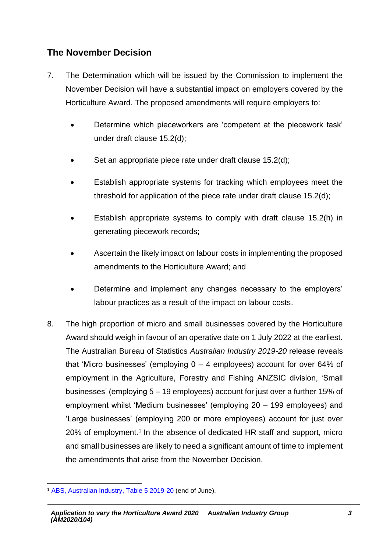#### **The November Decision**

- 7. The Determination which will be issued by the Commission to implement the November Decision will have a substantial impact on employers covered by the Horticulture Award. The proposed amendments will require employers to:
	- Determine which pieceworkers are 'competent at the piecework task' under draft clause 15.2(d);
	- Set an appropriate piece rate under draft clause 15.2(d);
	- Establish appropriate systems for tracking which employees meet the threshold for application of the piece rate under draft clause 15.2(d);
	- Establish appropriate systems to comply with draft clause 15.2(h) in generating piecework records;
	- Ascertain the likely impact on labour costs in implementing the proposed amendments to the Horticulture Award; and
	- Determine and implement any changes necessary to the employers' labour practices as a result of the impact on labour costs.
- 8. The high proportion of micro and small businesses covered by the Horticulture Award should weigh in favour of an operative date on 1 July 2022 at the earliest. The Australian Bureau of Statistics *Australian Industry 2019-20* release reveals that 'Micro businesses' (employing 0 – 4 employees) account for over 64% of employment in the Agriculture, Forestry and Fishing ANZSIC division, 'Small businesses' (employing 5 – 19 employees) account for just over a further 15% of employment whilst 'Medium businesses' (employing 20 – 199 employees) and 'Large businesses' (employing 200 or more employees) account for just over 20% of employment.<sup>1</sup> In the absence of dedicated HR staff and support, micro and small businesses are likely to need a significant amount of time to implement the amendments that arise from the November Decision.

<sup>&</sup>lt;sup>1</sup> ABS, [Australian Industry,](https://www.abs.gov.au/statistics/industry/industry-overview/australian-industry/latest-release) Table 5 2019-20 (end of June).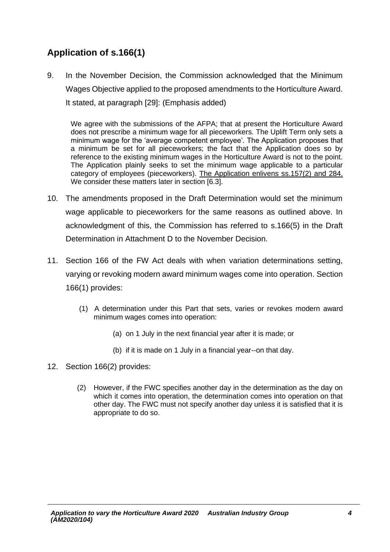#### **Application of s.166(1)**

9. In the November Decision, the Commission acknowledged that the Minimum Wages Objective applied to the proposed amendments to the Horticulture Award. It stated, at paragraph [29]: (Emphasis added)

We agree with the submissions of the AFPA; that at present the Horticulture Award does not prescribe a minimum wage for all pieceworkers. The Uplift Term only sets a minimum wage for the 'average competent employee'. The Application proposes that a minimum be set for all pieceworkers; the fact that the Application does so by reference to the existing minimum wages in the Horticulture Award is not to the point. The Application plainly seeks to set the minimum wage applicable to a particular category of employees (pieceworkers). The Application enlivens ss.157(2) and 284. We consider these matters later in section [6.3].

- 10. The amendments proposed in the Draft Determination would set the minimum wage applicable to pieceworkers for the same reasons as outlined above. In acknowledgment of this, the Commission has referred to s.166(5) in the Draft Determination in Attachment D to the November Decision.
- 11. Section 166 of the FW Act deals with when variation determinations setting, varying or revoking modern award minimum wages come into operation. Section 166(1) provides:
	- (1) A determination under this Part that sets, varies or revokes modern award minimum wages comes into operation:
		- (a) on 1 July in the next financial year after it is made; or
		- (b) if it is made on 1 July in a financial year--on that day.
- 12. Section 166(2) provides:
	- (2) However, if the FWC specifies another day in the determination as the day on which it comes into operation, the determination comes into operation on that other day. The FWC must not specify another day unless it is satisfied that it is appropriate to do so.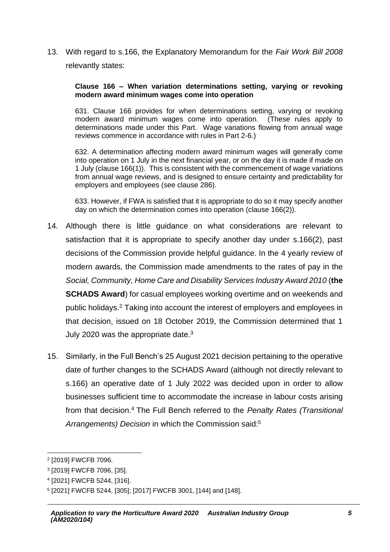13. With regard to s.166, the Explanatory Memorandum for the *Fair Work Bill 2008* relevantly states:

#### **Clause 166 – When variation determinations setting, varying or revoking modern award minimum wages come into operation**

631. Clause 166 provides for when determinations setting, varying or revoking modern award minimum wages come into operation. (These rules apply to determinations made under this Part. Wage variations flowing from annual wage reviews commence in accordance with rules in Part 2-6.)

632. A determination affecting modern award minimum wages will generally come into operation on 1 July in the next financial year, or on the day it is made if made on 1 July (clause 166(1)). This is consistent with the commencement of wage variations from annual wage reviews, and is designed to ensure certainty and predictability for employers and employees (see clause 286).

633. However, if FWA is satisfied that it is appropriate to do so it may specify another day on which the determination comes into operation (clause 166(2)).

- 14. Although there is little guidance on what considerations are relevant to satisfaction that it is appropriate to specify another day under s.166(2), past decisions of the Commission provide helpful guidance. In the 4 yearly review of modern awards, the Commission made amendments to the rates of pay in the *Social, Community, Home Care and Disability Services Industry Award 2010* (**the SCHADS Award**) for casual employees working overtime and on weekends and public holidays. <sup>2</sup> Taking into account the interest of employers and employees in that decision, issued on 18 October 2019, the Commission determined that 1 July 2020 was the appropriate date. $3$
- 15. Similarly, in the Full Bench's 25 August 2021 decision pertaining to the operative date of further changes to the SCHADS Award (although not directly relevant to s.166) an operative date of 1 July 2022 was decided upon in order to allow businesses sufficient time to accommodate the increase in labour costs arising from that decision.<sup>4</sup> The Full Bench referred to the *Penalty Rates (Transitional Arrangements) Decision* in which the Commission said:<sup>5</sup>

<sup>2</sup> [2019] FWCFB 7096.

<sup>3</sup> [2019] FWCFB 7096, [35].

<sup>4</sup> [2021] FWCFB 5244, [316].

<sup>5</sup> [2021] FWCFB 5244, [305]; [2017] FWCFB 3001, [144] and [148].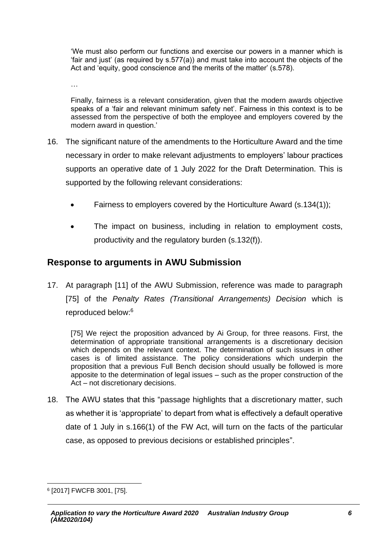'We must also perform our functions and exercise our powers in a manner which is 'fair and just' (as required by s.577(a)) and must take into account the objects of the Act and 'equity, good conscience and the merits of the matter' (s.578).

…

Finally, fairness is a relevant consideration, given that the modern awards objective speaks of a 'fair and relevant minimum safety net'. Fairness in this context is to be assessed from the perspective of both the employee and employers covered by the modern award in question.'

- 16. The significant nature of the amendments to the Horticulture Award and the time necessary in order to make relevant adjustments to employers' labour practices supports an operative date of 1 July 2022 for the Draft Determination. This is supported by the following relevant considerations:
	- Fairness to employers covered by the Horticulture Award (s.134(1));
	- The impact on business, including in relation to employment costs, productivity and the regulatory burden (s.132(f)).

#### **Response to arguments in AWU Submission**

17. At paragraph [11] of the AWU Submission, reference was made to paragraph [75] of the *Penalty Rates (Transitional Arrangements) Decision* which is reproduced below:<sup>6</sup>

[75] We reject the proposition advanced by Ai Group, for three reasons. First, the determination of appropriate transitional arrangements is a discretionary decision which depends on the relevant context. The determination of such issues in other cases is of limited assistance. The policy considerations which underpin the proposition that a previous Full Bench decision should usually be followed is more apposite to the determination of legal issues – such as the proper construction of the Act – not discretionary decisions.

18. The AWU states that this "passage highlights that a discretionary matter, such as whether it is 'appropriate' to depart from what is effectively a default operative date of 1 July in s.166(1) of the FW Act, will turn on the facts of the particular case, as opposed to previous decisions or established principles".

<sup>6</sup> [2017] FWCFB 3001, [75].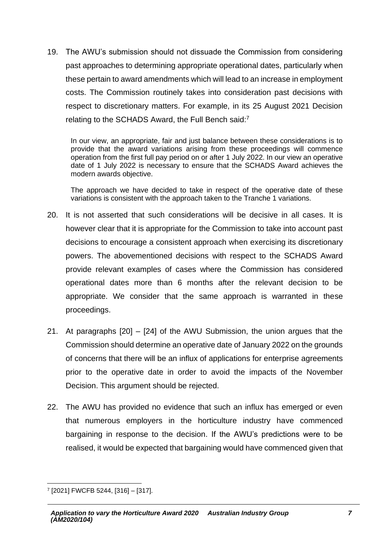19. The AWU's submission should not dissuade the Commission from considering past approaches to determining appropriate operational dates, particularly when these pertain to award amendments which will lead to an increase in employment costs. The Commission routinely takes into consideration past decisions with respect to discretionary matters. For example, in its 25 August 2021 Decision relating to the SCHADS Award, the Full Bench said:<sup>7</sup>

In our view, an appropriate, fair and just balance between these considerations is to provide that the award variations arising from these proceedings will commence operation from the first full pay period on or after 1 July 2022. In our view an operative date of 1 July 2022 is necessary to ensure that the SCHADS Award achieves the modern awards objective.

The approach we have decided to take in respect of the operative date of these variations is consistent with the approach taken to the Tranche 1 variations.

- 20. It is not asserted that such considerations will be decisive in all cases. It is however clear that it is appropriate for the Commission to take into account past decisions to encourage a consistent approach when exercising its discretionary powers. The abovementioned decisions with respect to the SCHADS Award provide relevant examples of cases where the Commission has considered operational dates more than 6 months after the relevant decision to be appropriate. We consider that the same approach is warranted in these proceedings.
- 21. At paragraphs [20] [24] of the AWU Submission, the union argues that the Commission should determine an operative date of January 2022 on the grounds of concerns that there will be an influx of applications for enterprise agreements prior to the operative date in order to avoid the impacts of the November Decision. This argument should be rejected.
- 22. The AWU has provided no evidence that such an influx has emerged or even that numerous employers in the horticulture industry have commenced bargaining in response to the decision. If the AWU's predictions were to be realised, it would be expected that bargaining would have commenced given that

<sup>7</sup> [2021] FWCFB 5244, [316] – [317].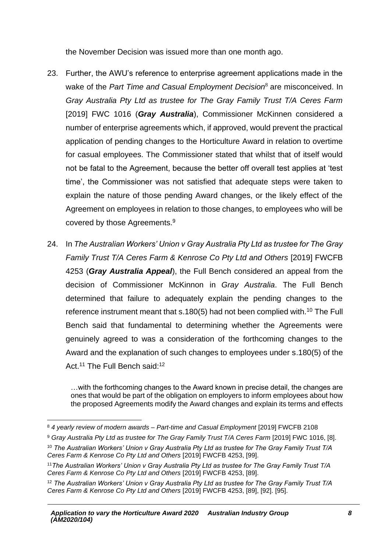the November Decision was issued more than one month ago.

- 23. Further, the AWU's reference to enterprise agreement applications made in the wake of the *Part Time and Casual Employment Decision*<sup>8</sup> are misconceived. In *Gray Australia Pty Ltd as trustee for The Gray Family Trust T/A Ceres Farm* [2019] FWC 1016 (*Gray Australia*), Commissioner McKinnen considered a number of enterprise agreements which, if approved, would prevent the practical application of pending changes to the Horticulture Award in relation to overtime for casual employees. The Commissioner stated that whilst that of itself would not be fatal to the Agreement, because the better off overall test applies at 'test time', the Commissioner was not satisfied that adequate steps were taken to explain the nature of those pending Award changes, or the likely effect of the Agreement on employees in relation to those changes, to employees who will be covered by those Agreements.<sup>9</sup>
- 24. In *The Australian Workers' Union v Gray Australia Pty Ltd as trustee for The Gray Family Trust T/A Ceres Farm & Kenrose Co Pty Ltd and Others* [2019] FWCFB 4253 (*Gray Australia Appeal*), the Full Bench considered an appeal from the decision of Commissioner McKinnon in *Gray Australia*. The Full Bench determined that failure to adequately explain the pending changes to the reference instrument meant that s.180(5) had not been complied with.<sup>10</sup> The Full Bench said that fundamental to determining whether the Agreements were genuinely agreed to was a consideration of the forthcoming changes to the Award and the explanation of such changes to employees under s.180(5) of the Act.<sup>11</sup> The Full Bench said:<sup>12</sup>

…with the forthcoming changes to the Award known in precise detail, the changes are ones that would be part of the obligation on employers to inform employees about how the proposed Agreements modify the Award changes and explain its terms and effects

<sup>8</sup> *4 yearly review of modern awards – Part-time and Casual Employment* [2019] FWCFB 2108

<sup>9</sup> *Gray Australia Pty Ltd as trustee for The Gray Family Trust T/A Ceres Farm* [2019] FWC 1016, [8].

<sup>10</sup> *The Australian Workers' Union v Gray Australia Pty Ltd as trustee for The Gray Family Trust T/A Ceres Farm & Kenrose Co Pty Ltd and Others* [2019] FWCFB 4253, [99].

<sup>11</sup>*The Australian Workers' Union v Gray Australia Pty Ltd as trustee for The Gray Family Trust T/A Ceres Farm & Kenrose Co Pty Ltd and Others* [2019] FWCFB 4253, [89].

<sup>12</sup> *The Australian Workers' Union v Gray Australia Pty Ltd as trustee for The Gray Family Trust T/A Ceres Farm & Kenrose Co Pty Ltd and Others* [2019] FWCFB 4253, [89], [92]. [95].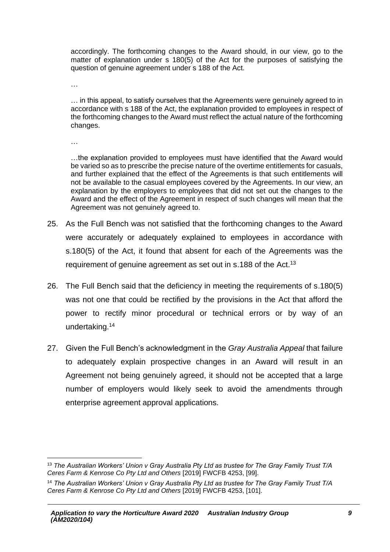accordingly. The forthcoming changes to the Award should, in our view, go to the matter of explanation under s 180(5) of the Act for the purposes of satisfying the question of genuine agreement under s 188 of the Act.

…

… in this appeal, to satisfy ourselves that the Agreements were genuinely agreed to in accordance with s 188 of the Act, the explanation provided to employees in respect of the forthcoming changes to the Award must reflect the actual nature of the forthcoming changes.

…

…the explanation provided to employees must have identified that the Award would be varied so as to prescribe the precise nature of the overtime entitlements for casuals, and further explained that the effect of the Agreements is that such entitlements will not be available to the casual employees covered by the Agreements. In our view, an explanation by the employers to employees that did not set out the changes to the Award and the effect of the Agreement in respect of such changes will mean that the Agreement was not genuinely agreed to.

- 25. As the Full Bench was not satisfied that the forthcoming changes to the Award were accurately or adequately explained to employees in accordance with s.180(5) of the Act, it found that absent for each of the Agreements was the requirement of genuine agreement as set out in s.188 of the Act.<sup>13</sup>
- 26. The Full Bench said that the deficiency in meeting the requirements of s.180(5) was not one that could be rectified by the provisions in the Act that afford the power to rectify minor procedural or technical errors or by way of an undertaking.<sup>14</sup>
- 27. Given the Full Bench's acknowledgment in the *Gray Australia Appeal* that failure to adequately explain prospective changes in an Award will result in an Agreement not being genuinely agreed, it should not be accepted that a large number of employers would likely seek to avoid the amendments through enterprise agreement approval applications.

<sup>13</sup> *The Australian Workers' Union v Gray Australia Pty Ltd as trustee for The Gray Family Trust T/A Ceres Farm & Kenrose Co Pty Ltd and Others* [2019] FWCFB 4253, [99].

<sup>14</sup> *The Australian Workers' Union v Gray Australia Pty Ltd as trustee for The Gray Family Trust T/A Ceres Farm & Kenrose Co Pty Ltd and Others* [2019] FWCFB 4253, [101].